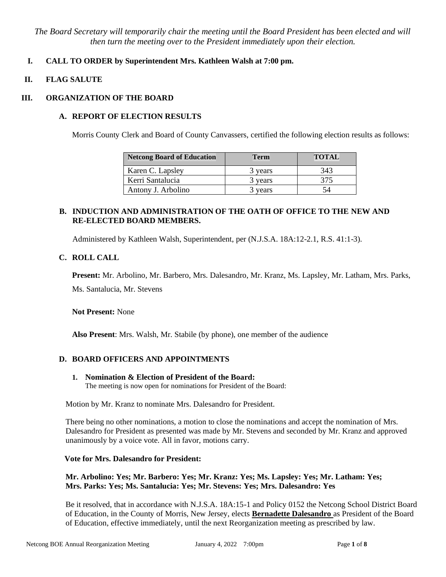*The Board Secretary will temporarily chair the meeting until the Board President has been elected and will then turn the meeting over to the President immediately upon their election.*

# **I. CALL TO ORDER by Superintendent Mrs. Kathleen Walsh at 7:00 pm.**

### **II. FLAG SALUTE**

## **III. ORGANIZATION OF THE BOARD**

# **A. REPORT OF ELECTION RESULTS**

Morris County Clerk and Board of County Canvassers, certified the following election results as follows:

| <b>Netcong Board of Education</b> | <b>Term</b> | <b>TOTAL</b> |
|-----------------------------------|-------------|--------------|
| Karen C. Lapsley                  | 3 years     | 343          |
| Kerri Santalucia                  | 3 years     | 375          |
| Antony J. Arbolino                | 3 years     |              |

# **B. INDUCTION AND ADMINISTRATION OF THE OATH OF OFFICE TO THE NEW AND RE-ELECTED BOARD MEMBERS.**

Administered by Kathleen Walsh, Superintendent, per (N.J.S.A. 18A:12-2.1, R.S. 41:1-3).

### **C. ROLL CALL**

**Present:** Mr. Arbolino, Mr. Barbero, Mrs. Dalesandro, Mr. Kranz, Ms. Lapsley, Mr. Latham, Mrs. Parks, Ms. Santalucia, Mr. Stevens

**Not Present:** None

**Also Present**: Mrs. Walsh, Mr. Stabile (by phone), one member of the audience

### **D. BOARD OFFICERS AND APPOINTMENTS**

**1. Nomination & Election of President of the Board:**  The meeting is now open for nominations for President of the Board:

Motion by Mr. Kranz to nominate Mrs. Dalesandro for President.

There being no other nominations, a motion to close the nominations and accept the nomination of Mrs. Dalesandro for President as presented was made by Mr. Stevens and seconded by Mr. Kranz and approved unanimously by a voice vote. All in favor, motions carry.

### **Vote for Mrs. Dalesandro for President:**

### **Mr. Arbolino: Yes; Mr. Barbero: Yes; Mr. Kranz: Yes; Ms. Lapsley: Yes; Mr. Latham: Yes; Mrs. Parks: Yes; Ms. Santalucia: Yes; Mr. Stevens: Yes; Mrs. Dalesandro: Yes**

Be it resolved, that in accordance with N.J.S.A. 18A:15-1 and Policy 0152 the Netcong School District Board of Education, in the County of Morris, New Jersey, elects **Bernadette Dalesandro** as President of the Board of Education, effective immediately, until the next Reorganization meeting as prescribed by law.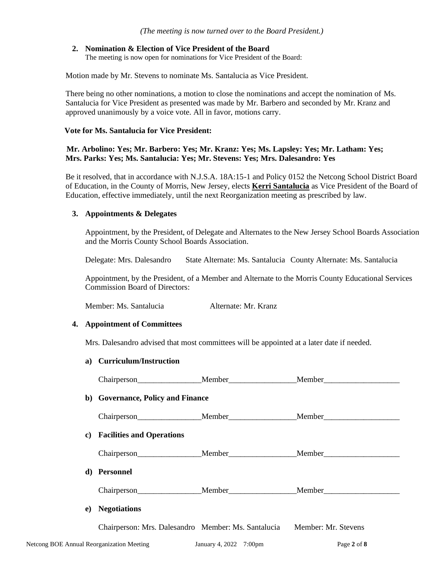#### **2. Nomination & Election of Vice President of the Board**

The meeting is now open for nominations for Vice President of the Board:

Motion made by Mr. Stevens to nominate Ms. Santalucia as Vice President.

There being no other nominations, a motion to close the nominations and accept the nomination of Ms. Santalucia for Vice President as presented was made by Mr. Barbero and seconded by Mr. Kranz and approved unanimously by a voice vote. All in favor, motions carry.

#### **Vote for Ms. Santalucia for Vice President:**

 **Mr. Arbolino: Yes; Mr. Barbero: Yes; Mr. Kranz: Yes; Ms. Lapsley: Yes; Mr. Latham: Yes; Mrs. Parks: Yes; Ms. Santalucia: Yes; Mr. Stevens: Yes; Mrs. Dalesandro: Yes** 

Be it resolved, that in accordance with N.J.S.A. 18A:15-1 and Policy 0152 the Netcong School District Board of Education, in the County of Morris, New Jersey, elects **Kerri Santalucia** as Vice President of the Board of Education, effective immediately, until the next Reorganization meeting as prescribed by law.

### **3. Appointments & Delegates**

Appointment, by the President, of Delegate and Alternates to the New Jersey School Boards Association and the Morris County School Boards Association.

Delegate: Mrs. Dalesandro State Alternate: Ms. Santalucia County Alternate: Ms. Santalucia

Appointment, by the President, of a Member and Alternate to the Morris County Educational Services Commission Board of Directors:

Member: Ms. Santalucia Alternate: Mr. Kranz

#### **4. Appointment of Committees**

Mrs. Dalesandro advised that most committees will be appointed at a later date if needed.

#### **a) Curriculum/Instruction**

| b) Governance, Policy and Finance                                       |  |                                         |  |  |
|-------------------------------------------------------------------------|--|-----------------------------------------|--|--|
|                                                                         |  |                                         |  |  |
| c) Facilities and Operations                                            |  |                                         |  |  |
|                                                                         |  | Chairperson Member Member Member Member |  |  |
| d) Personnel                                                            |  |                                         |  |  |
|                                                                         |  | Chairperson Member Member Member Member |  |  |
| e) Negotiations                                                         |  |                                         |  |  |
| Chairperson: Mrs. Dalesandro Member: Ms. Santalucia Member: Mr. Stevens |  |                                         |  |  |
|                                                                         |  |                                         |  |  |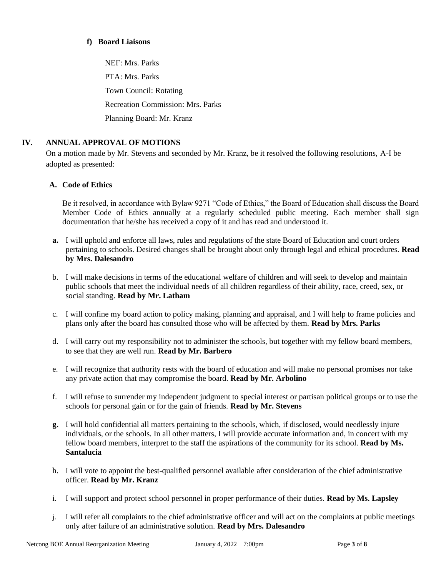### **f) Board Liaisons**

NEF: Mrs. Parks PTA: Mrs. Parks Town Council: Rotating Recreation Commission: Mrs. Parks Planning Board: Mr. Kranz

# **IV. ANNUAL APPROVAL OF MOTIONS**

On a motion made by Mr. Stevens and seconded by Mr. Kranz, be it resolved the following resolutions, A-I be adopted as presented:

# **A. Code of Ethics**

Be it resolved, in accordance with Bylaw 9271 "Code of Ethics," the Board of Education shall discuss the Board Member Code of Ethics annually at a regularly scheduled public meeting. Each member shall sign documentation that he/she has received a copy of it and has read and understood it.

- **a.** I will uphold and enforce all laws, rules and regulations of the state Board of Education and court orders pertaining to schools. Desired changes shall be brought about only through legal and ethical procedures. **Read by Mrs. Dalesandro**
- b. I will make decisions in terms of the educational welfare of children and will seek to develop and maintain public schools that meet the individual needs of all children regardless of their ability, race, creed, sex, or social standing. **Read by Mr. Latham**
- c. I will confine my board action to policy making, planning and appraisal, and I will help to frame policies and plans only after the board has consulted those who will be affected by them. **Read by Mrs. Parks**
- d. I will carry out my responsibility not to administer the schools, but together with my fellow board members, to see that they are well run. **Read by Mr. Barbero**
- e. I will recognize that authority rests with the board of education and will make no personal promises nor take any private action that may compromise the board. **Read by Mr. Arbolino**
- f. I will refuse to surrender my independent judgment to special interest or partisan political groups or to use the schools for personal gain or for the gain of friends. **Read by Mr. Stevens**
- **g.** I will hold confidential all matters pertaining to the schools, which, if disclosed, would needlessly injure individuals, or the schools. In all other matters, I will provide accurate information and, in concert with my fellow board members, interpret to the staff the aspirations of the community for its school. **Read by Ms. Santalucia**
- h. I will vote to appoint the best-qualified personnel available after consideration of the chief administrative officer. **Read by Mr. Kranz**
- i. I will support and protect school personnel in proper performance of their duties. **Read by Ms. Lapsley**
- j. I will refer all complaints to the chief administrative officer and will act on the complaints at public meetings only after failure of an administrative solution. **Read by Mrs. Dalesandro**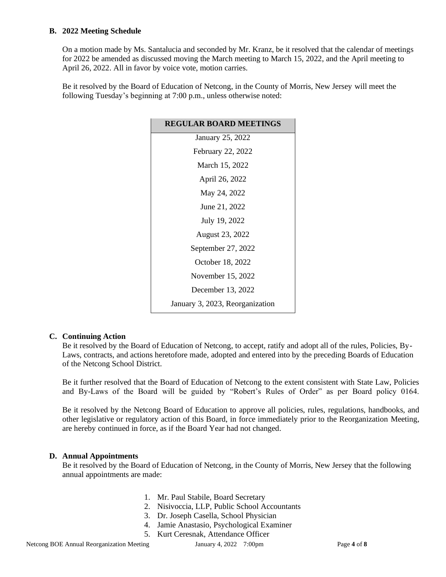## **B. 2022 Meeting Schedule**

On a motion made by Ms. Santalucia and seconded by Mr. Kranz, be it resolved that the calendar of meetings for 2022 be amended as discussed moving the March meeting to March 15, 2022, and the April meeting to April 26, 2022. All in favor by voice vote, motion carries.

Be it resolved by the Board of Education of Netcong, in the County of Morris, New Jersey will meet the following Tuesday's beginning at 7:00 p.m., unless otherwise noted:

| <b>REGULAR BOARD MEETINGS</b>   |  |  |
|---------------------------------|--|--|
| January 25, 2022                |  |  |
| February 22, 2022               |  |  |
| March 15, 2022                  |  |  |
| April 26, 2022                  |  |  |
| May 24, 2022                    |  |  |
| June 21, 2022                   |  |  |
| July 19, 2022                   |  |  |
| <b>August 23, 2022</b>          |  |  |
| September 27, 2022              |  |  |
| October 18, 2022                |  |  |
| November 15, 2022               |  |  |
| December 13, 2022               |  |  |
| January 3, 2023, Reorganization |  |  |

### **C. Continuing Action**

Be it resolved by the Board of Education of Netcong, to accept, ratify and adopt all of the rules, Policies, By-Laws, contracts, and actions heretofore made, adopted and entered into by the preceding Boards of Education of the Netcong School District.

Be it further resolved that the Board of Education of Netcong to the extent consistent with State Law, Policies and By-Laws of the Board will be guided by "Robert's Rules of Order" as per Board policy 0164.

Be it resolved by the Netcong Board of Education to approve all policies, rules, regulations, handbooks, and other legislative or regulatory action of this Board, in force immediately prior to the Reorganization Meeting, are hereby continued in force, as if the Board Year had not changed.

# **D. Annual Appointments**

Be it resolved by the Board of Education of Netcong, in the County of Morris, New Jersey that the following annual appointments are made:

- 1. Mr. Paul Stabile, Board Secretary
- 2. Nisivoccia, LLP, Public School Accountants
- 3. Dr. Joseph Casella, School Physician
- 4. Jamie Anastasio, Psychological Examiner
- 5. Kurt Ceresnak, Attendance Officer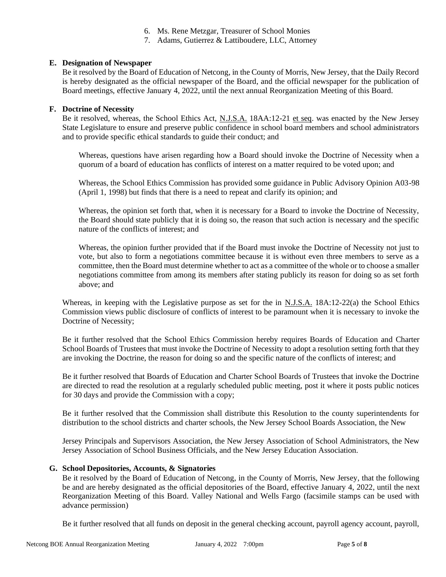- 6. Ms. Rene Metzgar, Treasurer of School Monies
- 7. Adams, Gutierrez & Lattiboudere, LLC, Attorney

## **E. Designation of Newspaper**

Be it resolved by the Board of Education of Netcong, in the County of Morris, New Jersey, that the Daily Record is hereby designated as the official newspaper of the Board, and the official newspaper for the publication of Board meetings, effective January 4, 2022, until the next annual Reorganization Meeting of this Board.

### **F. Doctrine of Necessity**

Be it resolved, whereas, the School Ethics Act, N.J.S.A. 18AA:12-21 et seq. was enacted by the New Jersey State Legislature to ensure and preserve public confidence in school board members and school administrators and to provide specific ethical standards to guide their conduct; and

Whereas, questions have arisen regarding how a Board should invoke the Doctrine of Necessity when a quorum of a board of education has conflicts of interest on a matter required to be voted upon; and

Whereas, the School Ethics Commission has provided some guidance in Public Advisory Opinion A03-98 (April 1, 1998) but finds that there is a need to repeat and clarify its opinion; and

Whereas, the opinion set forth that, when it is necessary for a Board to invoke the Doctrine of Necessity, the Board should state publicly that it is doing so, the reason that such action is necessary and the specific nature of the conflicts of interest; and

Whereas, the opinion further provided that if the Board must invoke the Doctrine of Necessity not just to vote, but also to form a negotiations committee because it is without even three members to serve as a committee, then the Board must determine whether to act as a committee of the whole or to choose a smaller negotiations committee from among its members after stating publicly its reason for doing so as set forth above; and

Whereas, in keeping with the Legislative purpose as set for the in N.J.S.A. 18A:12-22(a) the School Ethics Commission views public disclosure of conflicts of interest to be paramount when it is necessary to invoke the Doctrine of Necessity;

Be it further resolved that the School Ethics Commission hereby requires Boards of Education and Charter School Boards of Trustees that must invoke the Doctrine of Necessity to adopt a resolution setting forth that they are invoking the Doctrine, the reason for doing so and the specific nature of the conflicts of interest; and

Be it further resolved that Boards of Education and Charter School Boards of Trustees that invoke the Doctrine are directed to read the resolution at a regularly scheduled public meeting, post it where it posts public notices for 30 days and provide the Commission with a copy;

Be it further resolved that the Commission shall distribute this Resolution to the county superintendents for distribution to the school districts and charter schools, the New Jersey School Boards Association, the New

Jersey Principals and Supervisors Association, the New Jersey Association of School Administrators, the New Jersey Association of School Business Officials, and the New Jersey Education Association.

## **G. School Depositories, Accounts, & Signatories**

Be it resolved by the Board of Education of Netcong, in the County of Morris, New Jersey, that the following be and are hereby designated as the official depositories of the Board, effective January 4, 2022, until the next Reorganization Meeting of this Board. Valley National and Wells Fargo (facsimile stamps can be used with advance permission)

Be it further resolved that all funds on deposit in the general checking account, payroll agency account, payroll,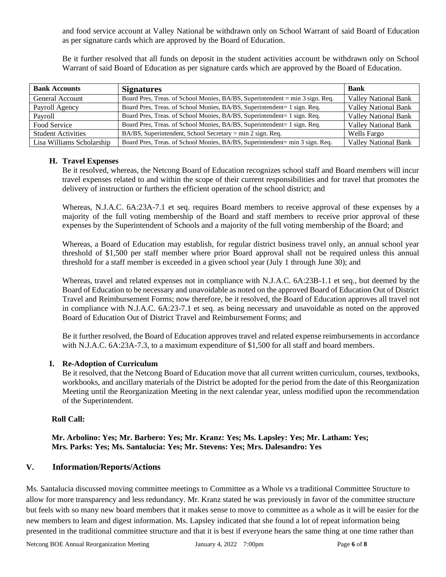and food service account at Valley National be withdrawn only on School Warrant of said Board of Education as per signature cards which are approved by the Board of Education.

Be it further resolved that all funds on deposit in the student activities account be withdrawn only on School Warrant of said Board of Education as per signature cards which are approved by the Board of Education.

| <b>Bank Accounts</b>      | <b>Signatures</b>                                                             | <b>Bank</b>                 |
|---------------------------|-------------------------------------------------------------------------------|-----------------------------|
| General Account           | Board Pres, Treas. of School Monies, BA/BS, Superintendent = min 3 sign. Req. | <b>Valley National Bank</b> |
| Payroll Agency            | Board Pres, Treas. of School Monies, BA/BS, Superintendent= 1 sign. Req.      | <b>Valley National Bank</b> |
| Pavroll                   | Board Pres, Treas. of School Monies, BA/BS, Superintendent= 1 sign. Req.      | <b>Valley National Bank</b> |
| Food Service              | Board Pres, Treas. of School Monies, BA/BS, Superintendent= 1 sign. Req.      | <b>Valley National Bank</b> |
| <b>Student Activities</b> | BA/BS, Superintendent, School Secretary = min 2 sign. Req.                    | Wells Fargo                 |
| Lisa Williams Scholarship | Board Pres, Treas. of School Monies, BA/BS, Superintendent= min 3 sign. Req.  | <b>Valley National Bank</b> |

### **H. Travel Expenses**

Be it resolved, whereas, the Netcong Board of Education recognizes school staff and Board members will incur travel expenses related to and within the scope of their current responsibilities and for travel that promotes the delivery of instruction or furthers the efficient operation of the school district; and

Whereas, N.J.A.C. 6A:23A-7.1 et seq. requires Board members to receive approval of these expenses by a majority of the full voting membership of the Board and staff members to receive prior approval of these expenses by the Superintendent of Schools and a majority of the full voting membership of the Board; and

Whereas, a Board of Education may establish, for regular district business travel only, an annual school year threshold of \$1,500 per staff member where prior Board approval shall not be required unless this annual threshold for a staff member is exceeded in a given school year (July 1 through June 30); and

Whereas, travel and related expenses not in compliance with N.J.A.C. 6A:23B-1.1 et seq., but deemed by the Board of Education to be necessary and unavoidable as noted on the approved Board of Education Out of District Travel and Reimbursement Forms; now therefore, be it resolved, the Board of Education approves all travel not in compliance with N.J.A.C. 6A:23-7.1 et seq. as being necessary and unavoidable as noted on the approved Board of Education Out of District Travel and Reimbursement Forms; and

Be it further resolved, the Board of Education approves travel and related expense reimbursements in accordance with N.J.A.C. 6A:23A-7.3, to a maximum expenditure of \$1,500 for all staff and board members.

### **I. Re-Adoption of Curriculum**

Be it resolved, that the Netcong Board of Education move that all current written curriculum, courses, textbooks, workbooks, and ancillary materials of the District be adopted for the period from the date of this Reorganization Meeting until the Reorganization Meeting in the next calendar year, unless modified upon the recommendation of the Superintendent.

# **Roll Call:**

# **Mr. Arbolino: Yes; Mr. Barbero: Yes; Mr. Kranz: Yes; Ms. Lapsley: Yes; Mr. Latham: Yes; Mrs. Parks: Yes; Ms. Santalucia: Yes; Mr. Stevens: Yes; Mrs. Dalesandro: Yes**

# **V. Information/Reports/Actions**

Ms. Santalucia discussed moving committee meetings to Committee as a Whole vs a traditional Committee Structure to allow for more transparency and less redundancy. Mr. Kranz stated he was previously in favor of the committee structure but feels with so many new board members that it makes sense to move to committee as a whole as it will be easier for the new members to learn and digest information. Ms. Lapsley indicated that she found a lot of repeat information being presented in the traditional committee structure and that it is best if everyone hears the same thing at one time rather than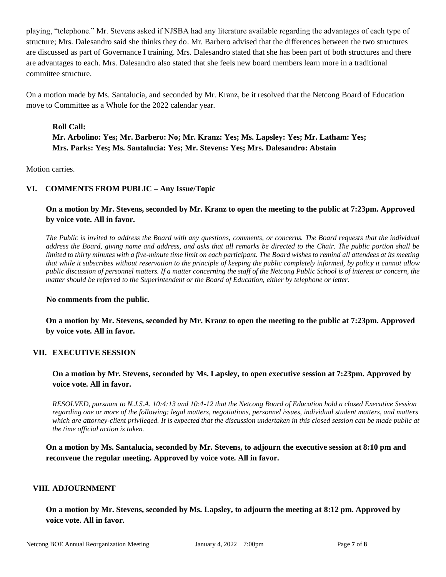playing, "telephone." Mr. Stevens asked if NJSBA had any literature available regarding the advantages of each type of structure; Mrs. Dalesandro said she thinks they do. Mr. Barbero advised that the differences between the two structures are discussed as part of Governance I training. Mrs. Dalesandro stated that she has been part of both structures and there are advantages to each. Mrs. Dalesandro also stated that she feels new board members learn more in a traditional committee structure.

On a motion made by Ms. Santalucia, and seconded by Mr. Kranz, be it resolved that the Netcong Board of Education move to Committee as a Whole for the 2022 calendar year.

# **Roll Call: Mr. Arbolino: Yes; Mr. Barbero: No; Mr. Kranz: Yes; Ms. Lapsley: Yes; Mr. Latham: Yes; Mrs. Parks: Yes; Ms. Santalucia: Yes; Mr. Stevens: Yes; Mrs. Dalesandro: Abstain**

Motion carries.

# **VI. COMMENTS FROM PUBLIC – Any Issue/Topic**

# **On a motion by Mr. Stevens, seconded by Mr. Kranz to open the meeting to the public at 7:23pm. Approved by voice vote. All in favor.**

*The Public is invited to address the Board with any questions, comments, or concerns. The Board requests that the individual address the Board, giving name and address, and asks that all remarks be directed to the Chair. The public portion shall be limited to thirty minutes with a five-minute time limit on each participant. The Board wishes to remind all attendees at its meeting that while it subscribes without reservation to the principle of keeping the public completely informed, by policy it cannot allow public discussion of personnel matters. If a matter concerning the staff of the Netcong Public School is of interest or concern, the matter should be referred to the Superintendent or the Board of Education, either by telephone or letter.*

#### **No comments from the public.**

**On a motion by Mr. Stevens, seconded by Mr. Kranz to open the meeting to the public at 7:23pm. Approved by voice vote. All in favor.**

### **VII. EXECUTIVE SESSION**

# **On a motion by Mr. Stevens, seconded by Ms. Lapsley, to open executive session at 7:23pm. Approved by voice vote. All in favor.**

*RESOLVED, pursuant to N.J.S.A. 10:4:13 and 10:4-12 that the Netcong Board of Education hold a closed Executive Session regarding one or more of the following: legal matters, negotiations, personnel issues, individual student matters, and matters which are attorney-client privileged. It is expected that the discussion undertaken in this closed session can be made public at the time official action is taken.*

**On a motion by Ms. Santalucia, seconded by Mr. Stevens, to adjourn the executive session at 8:10 pm and reconvene the regular meeting. Approved by voice vote. All in favor.**

### **VIII. ADJOURNMENT**

**On a motion by Mr. Stevens, seconded by Ms. Lapsley, to adjourn the meeting at 8:12 pm. Approved by voice vote. All in favor.**